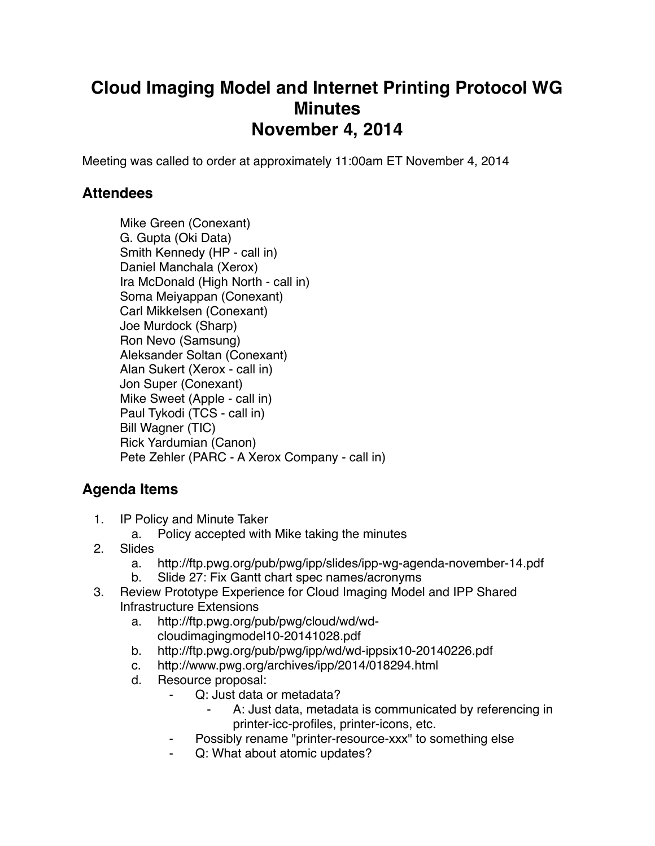## **Cloud Imaging Model and Internet Printing Protocol WG Minutes November 4, 2014**

Meeting was called to order at approximately 11:00am ET November 4, 2014

## **Attendees**

Mike Green (Conexant) G. Gupta (Oki Data) Smith Kennedy (HP - call in) Daniel Manchala (Xerox) Ira McDonald (High North - call in) Soma Meiyappan (Conexant) Carl Mikkelsen (Conexant) Joe Murdock (Sharp) Ron Nevo (Samsung) Aleksander Soltan (Conexant) Alan Sukert (Xerox - call in) Jon Super (Conexant) Mike Sweet (Apple - call in) Paul Tykodi (TCS - call in) Bill Wagner (TIC) Rick Yardumian (Canon) Pete Zehler (PARC - A Xerox Company - call in)

## **Agenda Items**

- 1. IP Policy and Minute Taker
	- a. Policy accepted with Mike taking the minutes
- 2. Slides
	- a. http://ftp.pwg.org/pub/pwg/ipp/slides/ipp-wg-agenda-november-14.pdf
	- b. Slide 27: Fix Gantt chart spec names/acronyms
- 3. Review Prototype Experience for Cloud Imaging Model and IPP Shared Infrastructure Extensions
	- a. http://ftp.pwg.org/pub/pwg/cloud/wd/wdcloudimagingmodel10-20141028.pdf
	- b. http://ftp.pwg.org/pub/pwg/ipp/wd/wd-ippsix10-20140226.pdf
	- c. http://www.pwg.org/archives/ipp/2014/018294.html
	- d. Resource proposal:
		- ⁃ Q: Just data or metadata?
			- A: Just data, metadata is communicated by referencing in printer-icc-profiles, printer-icons, etc.
		- Possibly rename "printer-resource-xxx" to something else
		- Q: What about atomic updates?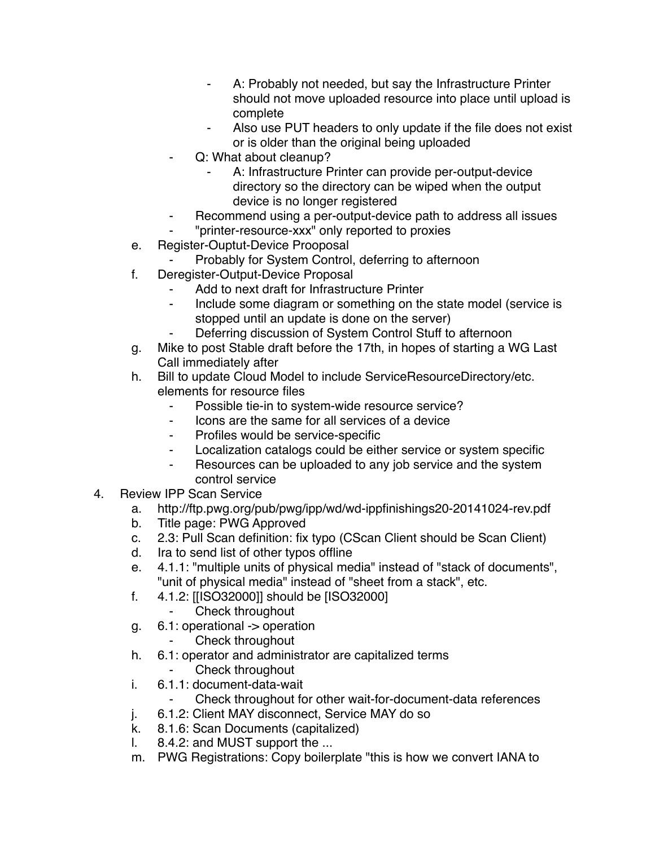- ⁃ A: Probably not needed, but say the Infrastructure Printer should not move uploaded resource into place until upload is complete
- Also use PUT headers to only update if the file does not exist or is older than the original being uploaded
- Q: What about cleanup?
	- A: Infrastructure Printer can provide per-output-device directory so the directory can be wiped when the output device is no longer registered
- Recommend using a per-output-device path to address all issues
- ⁃ "printer-resource-xxx" only reported to proxies
- e. Register-Ouptut-Device Prooposal
	- Probably for System Control, deferring to afternoon
- f. Deregister-Output-Device Proposal
	- Add to next draft for Infrastructure Printer
	- Include some diagram or something on the state model (service is stopped until an update is done on the server)
	- Deferring discussion of System Control Stuff to afternoon
- g. Mike to post Stable draft before the 17th, in hopes of starting a WG Last Call immediately after
- h. Bill to update Cloud Model to include ServiceResourceDirectory/etc. elements for resource files
	- Possible tie-in to system-wide resource service?
	- ⁃ Icons are the same for all services of a device
	- ⁃ Profiles would be service-specific
	- ⁃ Localization catalogs could be either service or system specific
	- ⁃ Resources can be uploaded to any job service and the system control service
- 4. Review IPP Scan Service
	- a. http://ftp.pwg.org/pub/pwg/ipp/wd/wd-ippfinishings20-20141024-rev.pdf
	- b. Title page: PWG Approved
	- c. 2.3: Pull Scan definition: fix typo (CScan Client should be Scan Client)
	- d. Ira to send list of other typos offline
	- e. 4.1.1: "multiple units of physical media" instead of "stack of documents", "unit of physical media" instead of "sheet from a stack", etc.
	- f. 4.1.2: [[ISO32000]] should be [ISO32000]
		- ⁃ Check throughout
	- g. 6.1: operational -> operation
		- Check throughout
	- h. 6.1: operator and administrator are capitalized terms
		- Check throughout
	- i. 6.1.1: document-data-wait
		- Check throughout for other wait-for-document-data references
	- j. 6.1.2: Client MAY disconnect, Service MAY do so
	- k. 8.1.6: Scan Documents (capitalized)
	- l. 8.4.2: and MUST support the ...
	- m. PWG Registrations: Copy boilerplate "this is how we convert IANA to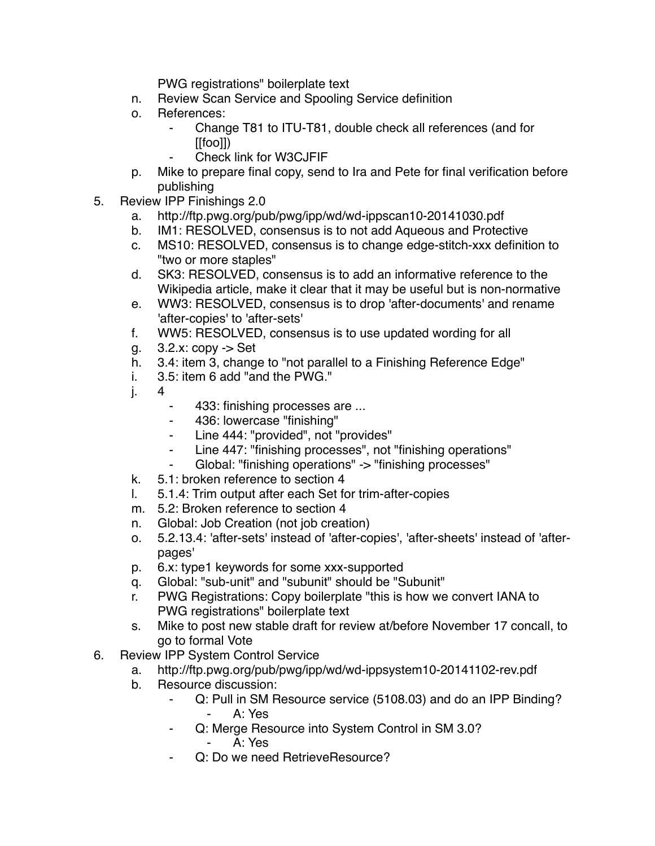PWG registrations" boilerplate text

- n. Review Scan Service and Spooling Service definition
- o. References:
	- ⁃ Change T81 to ITU-T81, double check all references (and for [[foo]])
	- Check link for W3CJFIF
- p. Mike to prepare final copy, send to Ira and Pete for final verification before publishing
- 5. Review IPP Finishings 2.0
	- a. http://ftp.pwg.org/pub/pwg/ipp/wd/wd-ippscan10-20141030.pdf
	- b. IM1: RESOLVED, consensus is to not add Aqueous and Protective
	- c. MS10: RESOLVED, consensus is to change edge-stitch-xxx definition to "two or more staples"
	- d. SK3: RESOLVED, consensus is to add an informative reference to the Wikipedia article, make it clear that it may be useful but is non-normative
	- e. WW3: RESOLVED, consensus is to drop 'after-documents' and rename 'after-copies' to 'after-sets'
	- f. WW5: RESOLVED, consensus is to use updated wording for all
	- g. 3.2.x: copy -> Set
	- h. 3.4: item 3, change to "not parallel to a Finishing Reference Edge"
	- i. 3.5: item 6 add "and the PWG."
	- j. 4
		- 433: finishing processes are ...
		- ⁃ 436: lowercase "finishing"
		- ⁃ Line 444: "provided", not "provides"
		- ⁃ Line 447: "finishing processes", not "finishing operations"
		- ⁃ Global: "finishing operations" -> "finishing processes"
	- k. 5.1: broken reference to section 4
	- l. 5.1.4: Trim output after each Set for trim-after-copies
	- m. 5.2: Broken reference to section 4
	- n. Global: Job Creation (not job creation)
	- o. 5.2.13.4: 'after-sets' instead of 'after-copies', 'after-sheets' instead of 'afterpages'
	- p. 6.x: type1 keywords for some xxx-supported
	- q. Global: "sub-unit" and "subunit" should be "Subunit"
	- r. PWG Registrations: Copy boilerplate "this is how we convert IANA to PWG registrations" boilerplate text
	- s. Mike to post new stable draft for review at/before November 17 concall, to go to formal Vote
- 6. Review IPP System Control Service
	- a. http://ftp.pwg.org/pub/pwg/ipp/wd/wd-ippsystem10-20141102-rev.pdf
	- b. Resource discussion:
		- ⁃ Q: Pull in SM Resource service (5108.03) and do an IPP Binding? ⁃ A: Yes
		- ⁃ Q: Merge Resource into System Control in SM 3.0? ⁃ A: Yes
		- Q: Do we need RetrieveResource?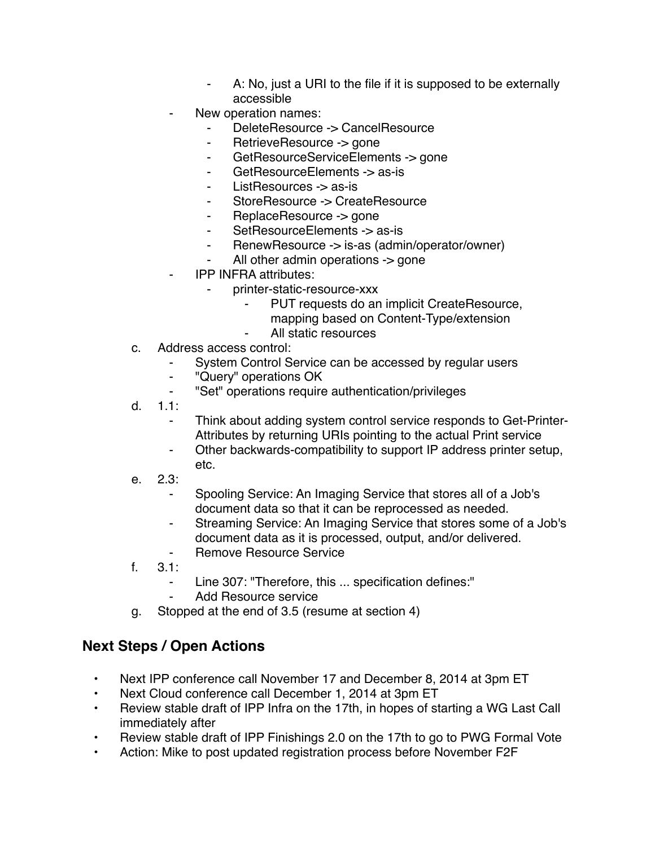- ⁃ A: No, just a URI to the file if it is supposed to be externally accessible
- New operation names:
	- DeleteResource -> CancelResource
	- ⁃ RetrieveResource -> gone
	- GetResourceServiceElements -> gone
	- GetResourceElements -> as-is
	- ⁃ ListResources -> as-is
	- ⁃ StoreResource -> CreateResource
	- ⁃ ReplaceResource -> gone
	- SetResourceElements -> as-is
	- ⁃ RenewResource -> is-as (admin/operator/owner)
	- All other admin operations  $\rightarrow$  gone
- **IPP INFRA attributes:** 
	- ⁃ printer-static-resource-xxx
		- ⁃ PUT requests do an implicit CreateResource,
			- mapping based on Content-Type/extension
		- All static resources
- c. Address access control:
	- ⁃ System Control Service can be accessed by regular users
	- ⁃ "Query" operations OK
	- ⁃ "Set" operations require authentication/privileges
- d. 1.1:
	- Think about adding system control service responds to Get-Printer-Attributes by returning URIs pointing to the actual Print service
	- ⁃ Other backwards-compatibility to support IP address printer setup, etc.
- e. 2.3:
	- ⁃ Spooling Service: An Imaging Service that stores all of a Job's document data so that it can be reprocessed as needed.
	- ⁃ Streaming Service: An Imaging Service that stores some of a Job's document data as it is processed, output, and/or delivered.
	- ⁃ Remove Resource Service
- $f = 3.1$ 
	- ⁃ Line 307: "Therefore, this ... specification defines:"
		- Add Resource service
- g. Stopped at the end of 3.5 (resume at section 4)

## **Next Steps / Open Actions**

- Next IPP conference call November 17 and December 8, 2014 at 3pm ET
- Next Cloud conference call December 1, 2014 at 3pm ET
- Review stable draft of IPP Infra on the 17th, in hopes of starting a WG Last Call immediately after
- Review stable draft of IPP Finishings 2.0 on the 17th to go to PWG Formal Vote
- Action: Mike to post updated registration process before November F2F